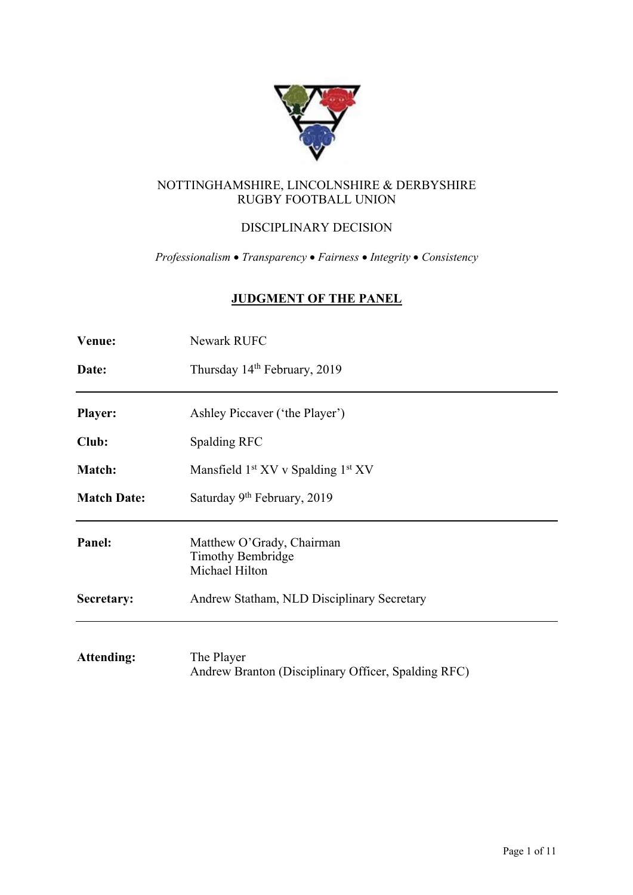

# NOTTINGHAMSHIRE, LINCOLNSHIRE & DERBYSHIRE RUGBY FOOTBALL UNION

# DISCIPLINARY DECISION

*Professionalism* • *Transparency* • *Fairness* • *Integrity* • *Consistency*

# **JUDGMENT OF THE PANEL**

| Venue:             | Newark RUFC                                                             |
|--------------------|-------------------------------------------------------------------------|
| Date:              | Thursday 14 <sup>th</sup> February, 2019                                |
| <b>Player:</b>     | Ashley Piccaver ('the Player')                                          |
| Club:              | Spalding RFC                                                            |
| <b>Match:</b>      | Mansfield $1st XV v$ Spalding $1st XV$                                  |
| <b>Match Date:</b> | Saturday 9 <sup>th</sup> February, 2019                                 |
| Panel:             | Matthew O'Grady, Chairman<br><b>Timothy Bembridge</b><br>Michael Hilton |
| Secretary:         | Andrew Statham, NLD Disciplinary Secretary                              |
| <b>Attending:</b>  | The Player                                                              |

Andrew Branton (Disciplinary Officer, Spalding RFC)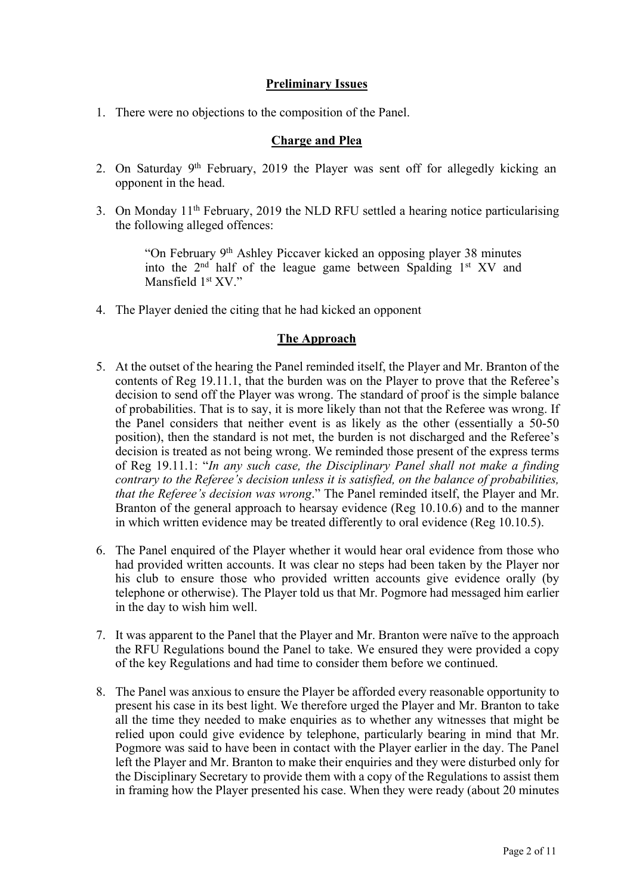# **Preliminary Issues**

1. There were no objections to the composition of the Panel.

# **Charge and Plea**

- 2. On Saturday 9<sup>th</sup> February, 2019 the Player was sent off for allegedly kicking an opponent in the head.
- 3. On Monday  $11<sup>th</sup>$  February, 2019 the NLD RFU settled a hearing notice particularising the following alleged offences:

"On February 9th Ashley Piccaver kicked an opposing player 38 minutes into the 2<sup>nd</sup> half of the league game between Spalding 1<sup>st</sup> XV and Mansfield 1<sup>st</sup> XV."

4. The Player denied the citing that he had kicked an opponent

## **The Approach**

- 5. At the outset of the hearing the Panel reminded itself, the Player and Mr. Branton of the contents of Reg 19.11.1, that the burden was on the Player to prove that the Referee's decision to send off the Player was wrong. The standard of proof is the simple balance of probabilities. That is to say, it is more likely than not that the Referee was wrong. If the Panel considers that neither event is as likely as the other (essentially a 50-50 position), then the standard is not met, the burden is not discharged and the Referee's decision is treated as not being wrong. We reminded those present of the express terms of Reg 19.11.1: "*In any such case, the Disciplinary Panel shall not make a finding contrary to the Referee's decision unless it is satisfied, on the balance of probabilities, that the Referee's decision was wrong*." The Panel reminded itself, the Player and Mr. Branton of the general approach to hearsay evidence (Reg 10.10.6) and to the manner in which written evidence may be treated differently to oral evidence (Reg 10.10.5).
- 6. The Panel enquired of the Player whether it would hear oral evidence from those who had provided written accounts. It was clear no steps had been taken by the Player nor his club to ensure those who provided written accounts give evidence orally (by telephone or otherwise). The Player told us that Mr. Pogmore had messaged him earlier in the day to wish him well.
- 7. It was apparent to the Panel that the Player and Mr. Branton were naïve to the approach the RFU Regulations bound the Panel to take. We ensured they were provided a copy of the key Regulations and had time to consider them before we continued.
- 8. The Panel was anxious to ensure the Player be afforded every reasonable opportunity to present his case in its best light. We therefore urged the Player and Mr. Branton to take all the time they needed to make enquiries as to whether any witnesses that might be relied upon could give evidence by telephone, particularly bearing in mind that Mr. Pogmore was said to have been in contact with the Player earlier in the day. The Panel left the Player and Mr. Branton to make their enquiries and they were disturbed only for the Disciplinary Secretary to provide them with a copy of the Regulations to assist them in framing how the Player presented his case. When they were ready (about 20 minutes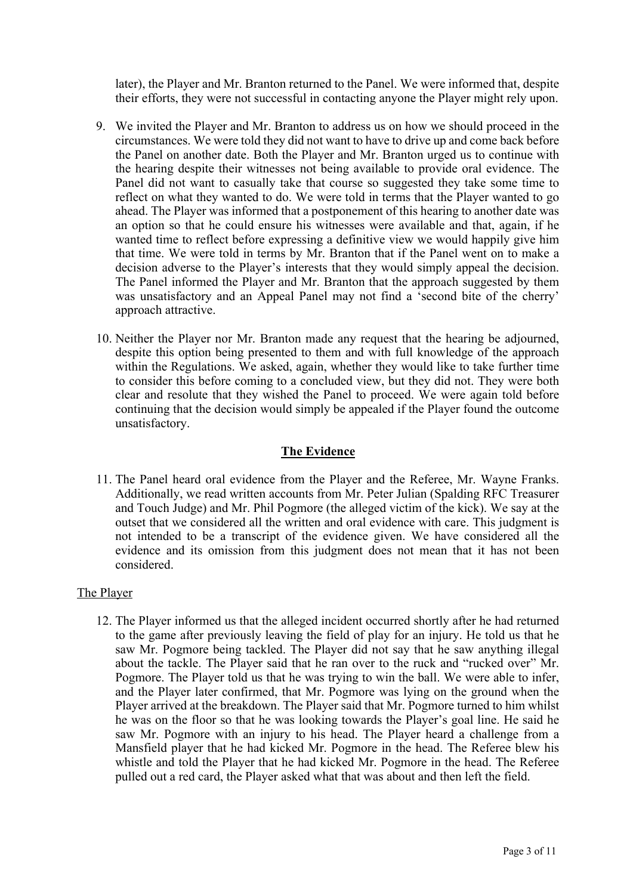later), the Player and Mr. Branton returned to the Panel. We were informed that, despite their efforts, they were not successful in contacting anyone the Player might rely upon.

- 9. We invited the Player and Mr. Branton to address us on how we should proceed in the circumstances. We were told they did not want to have to drive up and come back before the Panel on another date. Both the Player and Mr. Branton urged us to continue with the hearing despite their witnesses not being available to provide oral evidence. The Panel did not want to casually take that course so suggested they take some time to reflect on what they wanted to do. We were told in terms that the Player wanted to go ahead. The Player was informed that a postponement of this hearing to another date was an option so that he could ensure his witnesses were available and that, again, if he wanted time to reflect before expressing a definitive view we would happily give him that time. We were told in terms by Mr. Branton that if the Panel went on to make a decision adverse to the Player's interests that they would simply appeal the decision. The Panel informed the Player and Mr. Branton that the approach suggested by them was unsatisfactory and an Appeal Panel may not find a 'second bite of the cherry' approach attractive.
- 10. Neither the Player nor Mr. Branton made any request that the hearing be adjourned, despite this option being presented to them and with full knowledge of the approach within the Regulations. We asked, again, whether they would like to take further time to consider this before coming to a concluded view, but they did not. They were both clear and resolute that they wished the Panel to proceed. We were again told before continuing that the decision would simply be appealed if the Player found the outcome unsatisfactory.

## **The Evidence**

11. The Panel heard oral evidence from the Player and the Referee, Mr. Wayne Franks. Additionally, we read written accounts from Mr. Peter Julian (Spalding RFC Treasurer and Touch Judge) and Mr. Phil Pogmore (the alleged victim of the kick). We say at the outset that we considered all the written and oral evidence with care. This judgment is not intended to be a transcript of the evidence given. We have considered all the evidence and its omission from this judgment does not mean that it has not been considered.

## The Player

12. The Player informed us that the alleged incident occurred shortly after he had returned to the game after previously leaving the field of play for an injury. He told us that he saw Mr. Pogmore being tackled. The Player did not say that he saw anything illegal about the tackle. The Player said that he ran over to the ruck and "rucked over" Mr. Pogmore. The Player told us that he was trying to win the ball. We were able to infer, and the Player later confirmed, that Mr. Pogmore was lying on the ground when the Player arrived at the breakdown. The Player said that Mr. Pogmore turned to him whilst he was on the floor so that he was looking towards the Player's goal line. He said he saw Mr. Pogmore with an injury to his head. The Player heard a challenge from a Mansfield player that he had kicked Mr. Pogmore in the head. The Referee blew his whistle and told the Player that he had kicked Mr. Pogmore in the head. The Referee pulled out a red card, the Player asked what that was about and then left the field.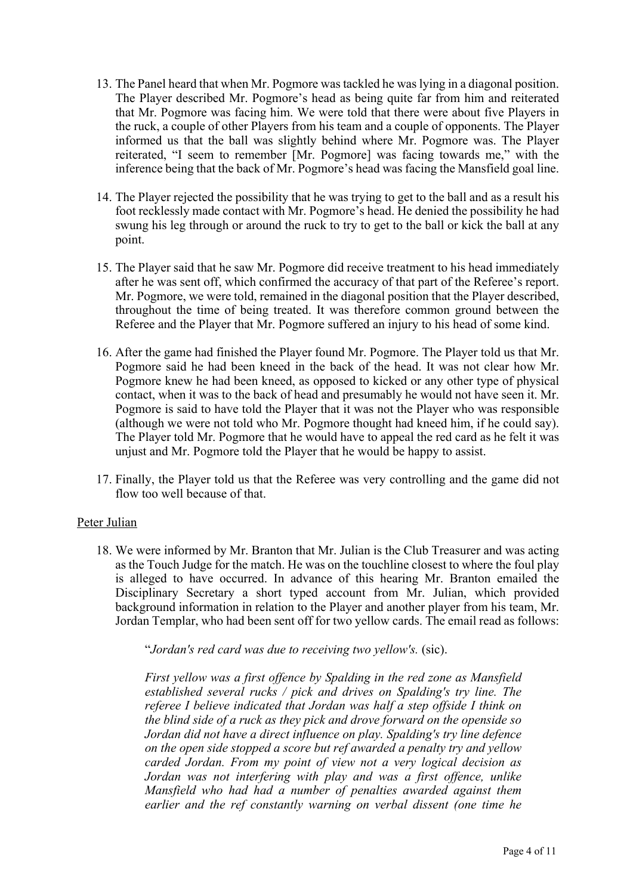- 13. The Panel heard that when Mr. Pogmore was tackled he was lying in a diagonal position. The Player described Mr. Pogmore's head as being quite far from him and reiterated that Mr. Pogmore was facing him. We were told that there were about five Players in the ruck, a couple of other Players from his team and a couple of opponents. The Player informed us that the ball was slightly behind where Mr. Pogmore was. The Player reiterated, "I seem to remember [Mr. Pogmore] was facing towards me," with the inference being that the back of Mr. Pogmore's head was facing the Mansfield goal line.
- 14. The Player rejected the possibility that he was trying to get to the ball and as a result his foot recklessly made contact with Mr. Pogmore's head. He denied the possibility he had swung his leg through or around the ruck to try to get to the ball or kick the ball at any point.
- 15. The Player said that he saw Mr. Pogmore did receive treatment to his head immediately after he was sent off, which confirmed the accuracy of that part of the Referee's report. Mr. Pogmore, we were told, remained in the diagonal position that the Player described, throughout the time of being treated. It was therefore common ground between the Referee and the Player that Mr. Pogmore suffered an injury to his head of some kind.
- 16. After the game had finished the Player found Mr. Pogmore. The Player told us that Mr. Pogmore said he had been kneed in the back of the head. It was not clear how Mr. Pogmore knew he had been kneed, as opposed to kicked or any other type of physical contact, when it was to the back of head and presumably he would not have seen it. Mr. Pogmore is said to have told the Player that it was not the Player who was responsible (although we were not told who Mr. Pogmore thought had kneed him, if he could say). The Player told Mr. Pogmore that he would have to appeal the red card as he felt it was unjust and Mr. Pogmore told the Player that he would be happy to assist.
- 17. Finally, the Player told us that the Referee was very controlling and the game did not flow too well because of that.

## Peter Julian

18. We were informed by Mr. Branton that Mr. Julian is the Club Treasurer and was acting as the Touch Judge for the match. He was on the touchline closest to where the foul play is alleged to have occurred. In advance of this hearing Mr. Branton emailed the Disciplinary Secretary a short typed account from Mr. Julian, which provided background information in relation to the Player and another player from his team, Mr. Jordan Templar, who had been sent off for two yellow cards. The email read as follows:

"*Jordan's red card was due to receiving two yellow's.* (sic).

*First yellow was a first offence by Spalding in the red zone as Mansfield established several rucks / pick and drives on Spalding's try line. The referee I believe indicated that Jordan was half a step offside I think on the blind side of a ruck as they pick and drove forward on the openside so Jordan did not have a direct influence on play. Spalding's try line defence on the open side stopped a score but ref awarded a penalty try and yellow carded Jordan. From my point of view not a very logical decision as Jordan was not interfering with play and was a first offence, unlike Mansfield who had had a number of penalties awarded against them earlier and the ref constantly warning on verbal dissent (one time he*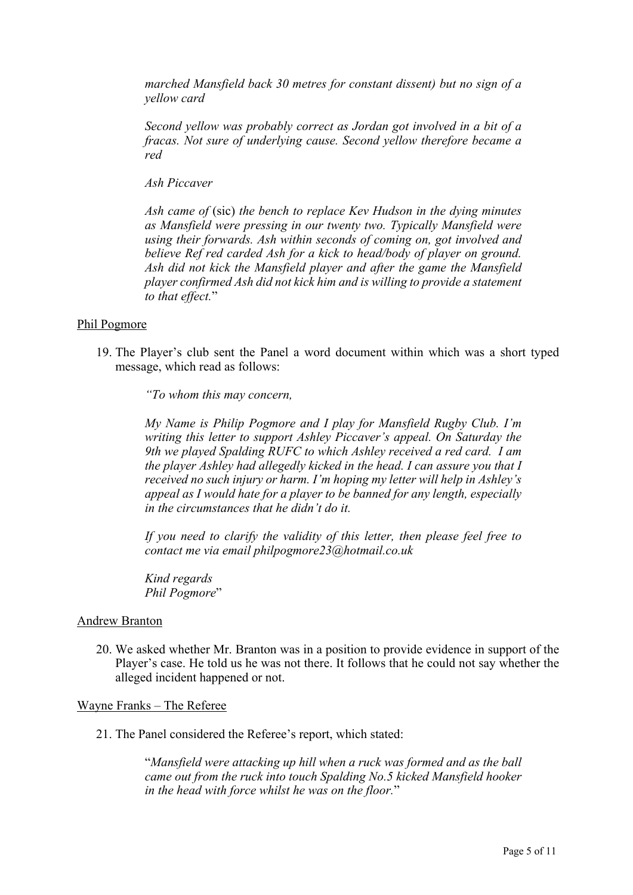*marched Mansfield back 30 metres for constant dissent) but no sign of a yellow card*

*Second yellow was probably correct as Jordan got involved in a bit of a fracas. Not sure of underlying cause. Second yellow therefore became a red*

*Ash Piccaver*

*Ash came of* (sic) *the bench to replace Kev Hudson in the dying minutes as Mansfield were pressing in our twenty two. Typically Mansfield were using their forwards. Ash within seconds of coming on, got involved and believe Ref red carded Ash for a kick to head/body of player on ground. Ash did not kick the Mansfield player and after the game the Mansfield player confirmed Ash did not kick him and is willing to provide a statement to that effect.*"

### Phil Pogmore

19. The Player's club sent the Panel a word document within which was a short typed message, which read as follows:

*"To whom this may concern,*

*My Name is Philip Pogmore and I play for Mansfield Rugby Club. I'm writing this letter to support Ashley Piccaver's appeal. On Saturday the 9th we played Spalding RUFC to which Ashley received a red card. I am the player Ashley had allegedly kicked in the head. I can assure you that I received no such injury or harm. I'm hoping my letter will help in Ashley's appeal as I would hate for a player to be banned for any length, especially in the circumstances that he didn't do it.*

*If you need to clarify the validity of this letter, then please feel free to contact me via email philpogmore23@hotmail.co.uk*

*Kind regards Phil Pogmore*"

#### Andrew Branton

20. We asked whether Mr. Branton was in a position to provide evidence in support of the Player's case. He told us he was not there. It follows that he could not say whether the alleged incident happened or not.

#### Wayne Franks – The Referee

21. The Panel considered the Referee's report, which stated:

"*Mansfield were attacking up hill when a ruck was formed and as the ball came out from the ruck into touch Spalding No.5 kicked Mansfield hooker in the head with force whilst he was on the floor.*"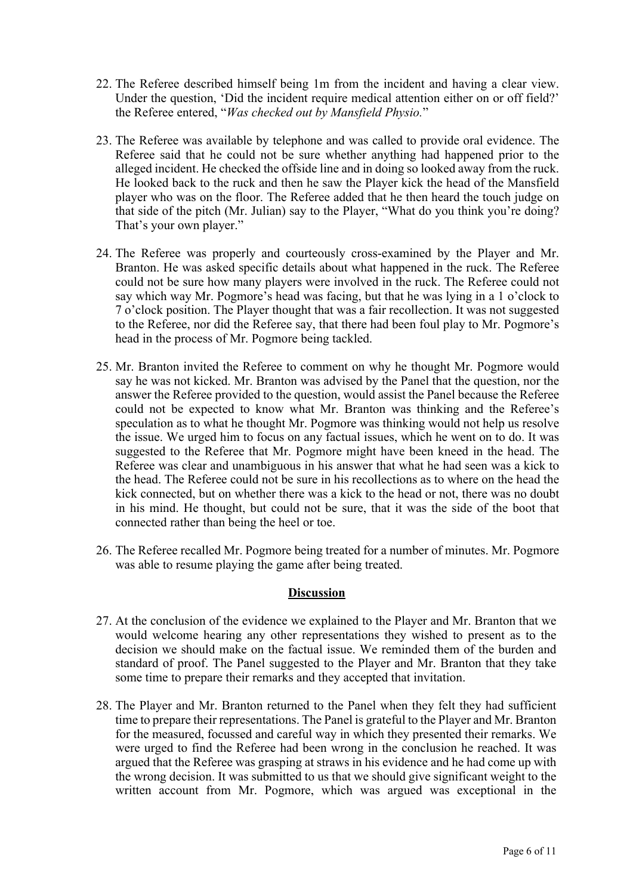- 22. The Referee described himself being 1m from the incident and having a clear view. Under the question, 'Did the incident require medical attention either on or off field?' the Referee entered, "*Was checked out by Mansfield Physio.*"
- 23. The Referee was available by telephone and was called to provide oral evidence. The Referee said that he could not be sure whether anything had happened prior to the alleged incident. He checked the offside line and in doing so looked away from the ruck. He looked back to the ruck and then he saw the Player kick the head of the Mansfield player who was on the floor. The Referee added that he then heard the touch judge on that side of the pitch (Mr. Julian) say to the Player, "What do you think you're doing? That's your own player."
- 24. The Referee was properly and courteously cross-examined by the Player and Mr. Branton. He was asked specific details about what happened in the ruck. The Referee could not be sure how many players were involved in the ruck. The Referee could not say which way Mr. Pogmore's head was facing, but that he was lying in a 1 o'clock to 7 o'clock position. The Player thought that was a fair recollection. It was not suggested to the Referee, nor did the Referee say, that there had been foul play to Mr. Pogmore's head in the process of Mr. Pogmore being tackled.
- 25. Mr. Branton invited the Referee to comment on why he thought Mr. Pogmore would say he was not kicked. Mr. Branton was advised by the Panel that the question, nor the answer the Referee provided to the question, would assist the Panel because the Referee could not be expected to know what Mr. Branton was thinking and the Referee's speculation as to what he thought Mr. Pogmore was thinking would not help us resolve the issue. We urged him to focus on any factual issues, which he went on to do. It was suggested to the Referee that Mr. Pogmore might have been kneed in the head. The Referee was clear and unambiguous in his answer that what he had seen was a kick to the head. The Referee could not be sure in his recollections as to where on the head the kick connected, but on whether there was a kick to the head or not, there was no doubt in his mind. He thought, but could not be sure, that it was the side of the boot that connected rather than being the heel or toe.
- 26. The Referee recalled Mr. Pogmore being treated for a number of minutes. Mr. Pogmore was able to resume playing the game after being treated.

## **Discussion**

- 27. At the conclusion of the evidence we explained to the Player and Mr. Branton that we would welcome hearing any other representations they wished to present as to the decision we should make on the factual issue. We reminded them of the burden and standard of proof. The Panel suggested to the Player and Mr. Branton that they take some time to prepare their remarks and they accepted that invitation.
- 28. The Player and Mr. Branton returned to the Panel when they felt they had sufficient time to prepare their representations. The Panel is grateful to the Player and Mr. Branton for the measured, focussed and careful way in which they presented their remarks. We were urged to find the Referee had been wrong in the conclusion he reached. It was argued that the Referee was grasping at straws in his evidence and he had come up with the wrong decision. It was submitted to us that we should give significant weight to the written account from Mr. Pogmore, which was argued was exceptional in the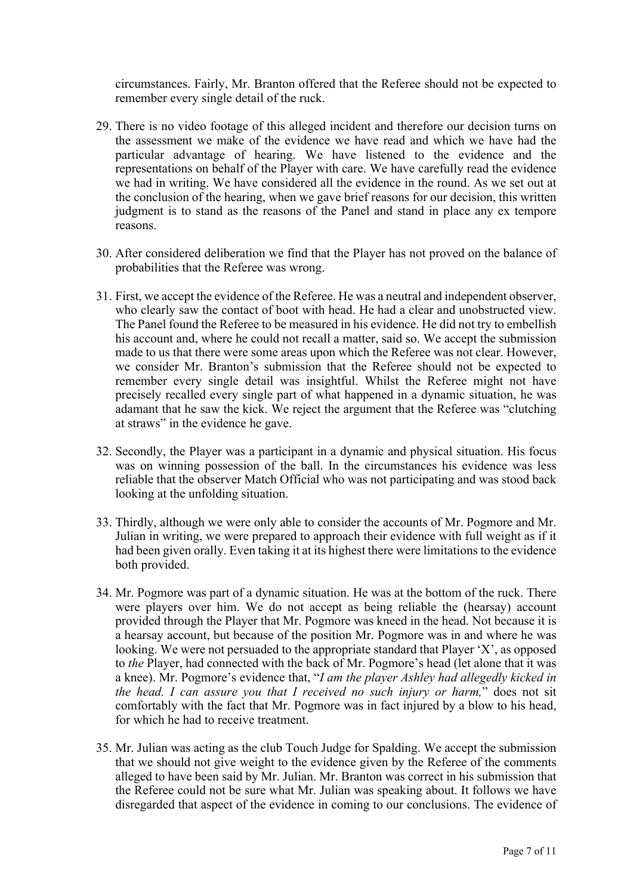circumstances. Fairly, Mr. Branton offered that the Referee should not be expected to remember every single detail of the ruck.

- 29. There is no video footage of this alleged incident and therefore our decision turns on the assessment we make of the evidence we have read and which we have had the particular advantage of hearing. We have listened to the evidence and the representations on behalf of the Player with care. We have carefully read the evidence we had in writing. We have considered all the evidence in the round. As we set out at the conclusion of the hearing, when we gave brief reasons for our decision, this written judgment is to stand as the reasons of the Panel and stand in place any ex tempore reasons.
- 30. After considered deliberation we find that the Player has not proved on the balance of probabilities that the Referee was wrong.
- 31. First, we accept the evidence of the Referee. He was a neutral and independent observer, who clearly saw the contact of boot with head. He had a clear and unobstructed view. The Panel found the Referee to be measured in his evidence. He did not try to embellish his account and, where he could not recall a matter, said so. We accept the submission made to us that there were some areas upon which the Referee was not clear. However, we consider Mr. Branton's submission that the Referee should not be expected to remember every single detail was insightful. Whilst the Referee might not have precisely recalled every single part of what happened in a dynamic situation, he was adamant that he saw the kick. We reject the argument that the Referee was "clutching at straws" in the evidence he gave.
- 32. Secondly, the Player was a participant in a dynamic and physical situation. His focus was on winning possession of the ball. In the circumstances his evidence was less reliable that the observer Match Official who was not participating and was stood back looking at the unfolding situation.
- 33. Thirdly, although we were only able to consider the accounts of Mr. Pogmore and Mr. Julian in writing, we were prepared to approach their evidence with full weight as if it had been given orally. Even taking it at its highest there were limitations to the evidence both provided.
- 34. Mr. Pogmore was part of a dynamic situation. He was at the bottom of the ruck. There were players over him. We do not accept as being reliable the (hearsay) account provided through the Player that Mr. Pogmore was kneed in the head. Not because it is a hearsay account, but because of the position Mr. Pogmore was in and where he was looking. We were not persuaded to the appropriate standard that Player 'X', as opposed to *the* Player, had connected with the back of Mr. Pogmore's head (let alone that it was a knee). Mr. Pogmore's evidence that, "*I am the player Ashley had allegedly kicked in the head. I can assure you that I received no such injury or harm,*" does not sit comfortably with the fact that Mr. Pogmore was in fact injured by a blow to his head, for which he had to receive treatment.
- 35. Mr. Julian was acting as the club Touch Judge for Spalding. We accept the submission that we should not give weight to the evidence given by the Referee of the comments alleged to have been said by Mr. Julian. Mr. Branton was correct in his submission that the Referee could not be sure what Mr. Julian was speaking about. It follows we have disregarded that aspect of the evidence in coming to our conclusions. The evidence of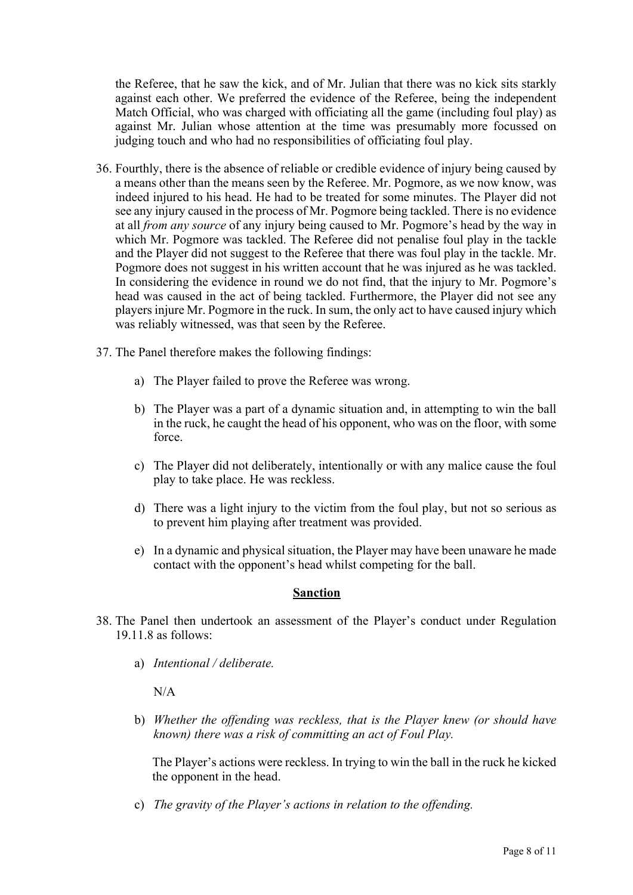the Referee, that he saw the kick, and of Mr. Julian that there was no kick sits starkly against each other. We preferred the evidence of the Referee, being the independent Match Official, who was charged with officiating all the game (including foul play) as against Mr. Julian whose attention at the time was presumably more focussed on judging touch and who had no responsibilities of officiating foul play.

- 36. Fourthly, there is the absence of reliable or credible evidence of injury being caused by a means other than the means seen by the Referee. Mr. Pogmore, as we now know, was indeed injured to his head. He had to be treated for some minutes. The Player did not see any injury caused in the process of Mr. Pogmore being tackled. There is no evidence at all *from any source* of any injury being caused to Mr. Pogmore's head by the way in which Mr. Pogmore was tackled. The Referee did not penalise foul play in the tackle and the Player did not suggest to the Referee that there was foul play in the tackle. Mr. Pogmore does not suggest in his written account that he was injured as he was tackled. In considering the evidence in round we do not find, that the injury to Mr. Pogmore's head was caused in the act of being tackled. Furthermore, the Player did not see any players injure Mr. Pogmore in the ruck. In sum, the only act to have caused injury which was reliably witnessed, was that seen by the Referee.
- 37. The Panel therefore makes the following findings:
	- a) The Player failed to prove the Referee was wrong.
	- b) The Player was a part of a dynamic situation and, in attempting to win the ball in the ruck, he caught the head of his opponent, who was on the floor, with some force.
	- c) The Player did not deliberately, intentionally or with any malice cause the foul play to take place. He was reckless.
	- d) There was a light injury to the victim from the foul play, but not so serious as to prevent him playing after treatment was provided.
	- e) In a dynamic and physical situation, the Player may have been unaware he made contact with the opponent's head whilst competing for the ball.

#### **Sanction**

- 38. The Panel then undertook an assessment of the Player's conduct under Regulation 19.11.8 as follows:
	- a) *Intentional / deliberate.*

N/A

b) *Whether the offending was reckless, that is the Player knew (or should have known) there was a risk of committing an act of Foul Play.*

The Player's actions were reckless. In trying to win the ball in the ruck he kicked the opponent in the head.

c) *The gravity of the Player's actions in relation to the offending.*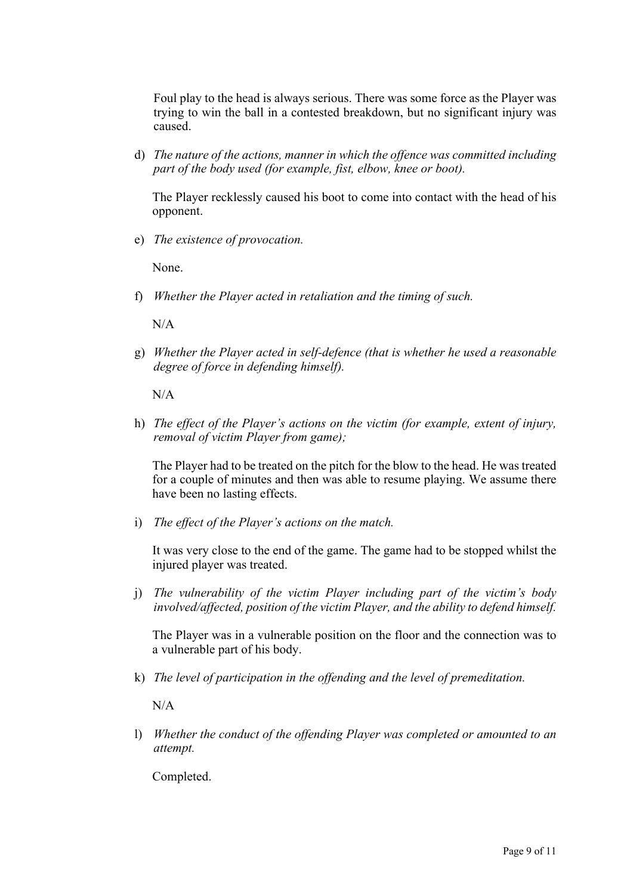Foul play to the head is always serious. There was some force as the Player was trying to win the ball in a contested breakdown, but no significant injury was caused.

d) *The nature of the actions, manner in which the offence was committed including part of the body used (for example, fist, elbow, knee or boot).*

The Player recklessly caused his boot to come into contact with the head of his opponent.

e) *The existence of provocation.*

None.

f) *Whether the Player acted in retaliation and the timing of such.*

 $N/A$ 

g) *Whether the Player acted in self-defence (that is whether he used a reasonable degree of force in defending himself).*

N/A

h) *The effect of the Player's actions on the victim (for example, extent of injury, removal of victim Player from game);* 

The Player had to be treated on the pitch for the blow to the head. He was treated for a couple of minutes and then was able to resume playing. We assume there have been no lasting effects.

i) *The effect of the Player's actions on the match.*

It was very close to the end of the game. The game had to be stopped whilst the injured player was treated.

j) *The vulnerability of the victim Player including part of the victim's body involved/affected, position of the victim Player, and the ability to defend himself.*

The Player was in a vulnerable position on the floor and the connection was to a vulnerable part of his body.

k) *The level of participation in the offending and the level of premeditation.*

N/A

l) *Whether the conduct of the offending Player was completed or amounted to an attempt.*

Completed.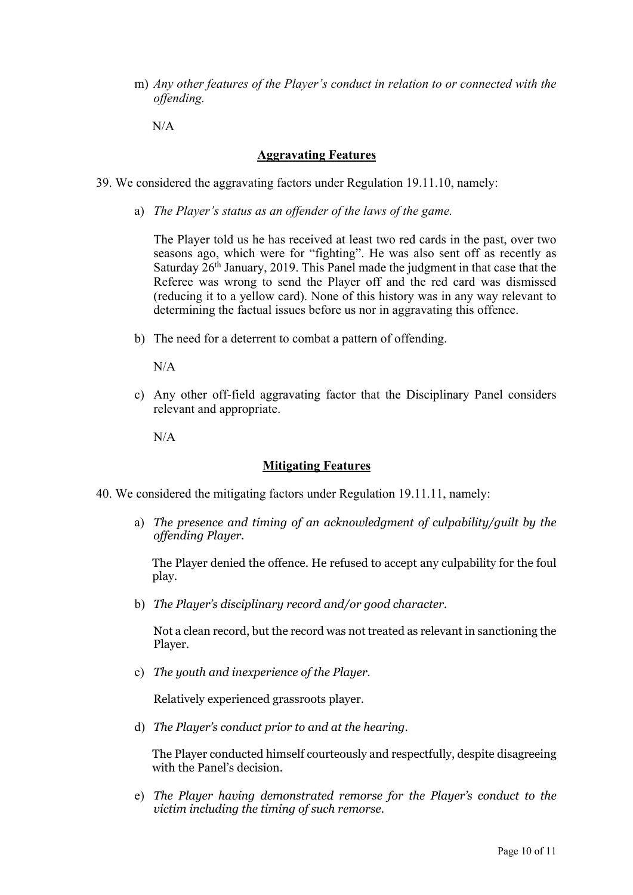m) *Any other features of the Player's conduct in relation to or connected with the offending.*

N/A

#### **Aggravating Features**

- 39. We considered the aggravating factors under Regulation 19.11.10, namely:
	- a) *The Player's status as an offender of the laws of the game.*

The Player told us he has received at least two red cards in the past, over two seasons ago, which were for "fighting". He was also sent off as recently as Saturday  $26<sup>th</sup>$  January, 2019. This Panel made the judgment in that case that the Referee was wrong to send the Player off and the red card was dismissed (reducing it to a yellow card). None of this history was in any way relevant to determining the factual issues before us nor in aggravating this offence.

b) The need for a deterrent to combat a pattern of offending.

N/A

c) Any other off-field aggravating factor that the Disciplinary Panel considers relevant and appropriate.

N/A

## **Mitigating Features**

- 40. We considered the mitigating factors under Regulation 19.11.11, namely:
	- a) *The presence and timing of an acknowledgment of culpability/guilt by the offending Player.*

The Player denied the offence. He refused to accept any culpability for the foul play.

b) *The Player's disciplinary record and/or good character.*

Not a clean record, but the record was not treated as relevant in sanctioning the Player.

c) *The youth and inexperience of the Player.*

Relatively experienced grassroots player.

d) *The Player's conduct prior to and at the hearing*.

The Player conducted himself courteously and respectfully, despite disagreeing with the Panel's decision.

e) *The Player having demonstrated remorse for the Player's conduct to the victim including the timing of such remorse.*